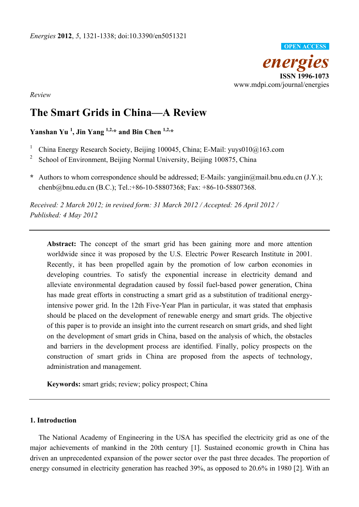

*Review* 

# **The Smart Grids in China—A Review**

**Yanshan Yu <sup>1</sup> , Jin Yang 1,2,\* and Bin Chen 1,2,\*** 

- <sup>1</sup> China Energy Research Society, Beijing 100045, China; E-Mail: yuys010@163.com
- <sup>2</sup> School of Environment, Beijing Normal University, Beijing 100875, China
- **\*** Authors to whom correspondence should be addressed; E-Mails: yangjin@mail.bnu.edu.cn (J.Y.); chenb@bnu.edu.cn (B.C.); Tel.:+86-10-58807368; Fax: +86-10-58807368.

*Received: 2 March 2012; in revised form: 31 March 2012 / Accepted: 26 April 2012 / Published: 4 May 2012* 

**Abstract:** The concept of the smart grid has been gaining more and more attention worldwide since it was proposed by the U.S. Electric Power Research Institute in 2001. Recently, it has been propelled again by the promotion of low carbon economies in developing countries. To satisfy the exponential increase in electricity demand and alleviate environmental degradation caused by fossil fuel-based power generation, China has made great efforts in constructing a smart grid as a substitution of traditional energyintensive power grid. In the 12th Five-Year Plan in particular, it was stated that emphasis should be placed on the development of renewable energy and smart grids. The objective of this paper is to provide an insight into the current research on smart grids, and shed light on the development of smart grids in China, based on the analysis of which, the obstacles and barriers in the development process are identified. Finally, policy prospects on the construction of smart grids in China are proposed from the aspects of technology, administration and management.

**Keywords:** smart grids; review; policy prospect; China

# **1. Introduction**

The National Academy of Engineering in the USA has specified the electricity grid as one of the major achievements of mankind in the 20th century [1]. Sustained economic growth in China has driven an unprecedented expansion of the power sector over the past three decades. The proportion of energy consumed in electricity generation has reached 39%, as opposed to 20.6% in 1980 [2]. With an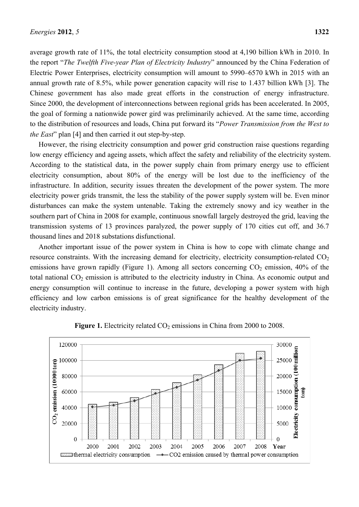average growth rate of 11%, the total electricity consumption stood at 4,190 billion kWh in 2010. In the report "*The Twelfth Five-year Plan of Electricity Industry*" announced by the China Federation of Electric Power Enterprises, electricity consumption will amount to 5990–6570 kWh in 2015 with an annual growth rate of 8.5%, while power generation capacity will rise to 1.437 billion kWh [3]. The Chinese government has also made great efforts in the construction of energy infrastructure. Since 2000, the development of interconnections between regional grids has been accelerated. In 2005, the goal of forming a nationwide power gird was preliminarily achieved. At the same time, according to the distribution of resources and loads, China put forward its "*Power Transmission from the West to the East*" plan [4] and then carried it out step-by-step.

However, the rising electricity consumption and power grid construction raise questions regarding low energy efficiency and ageing assets, which affect the safety and reliability of the electricity system. According to the statistical data, in the power supply chain from primary energy use to efficient electricity consumption, about 80% of the energy will be lost due to the inefficiency of the infrastructure. In addition, security issues threaten the development of the power system. The more electricity power grids transmit, the less the stability of the power supply system will be. Even minor disturbances can make the system untenable. Taking the extremely snowy and icy weather in the southern part of China in 2008 for example, continuous snowfall largely destroyed the grid, leaving the transmission systems of 13 provinces paralyzed, the power supply of 170 cities cut off, and 36.7 thousand lines and 2018 substations disfunctional.

Another important issue of the power system in China is how to cope with climate change and resource constraints. With the increasing demand for electricity, electricity consumption-related  $CO<sub>2</sub>$ emissions have grown rapidly (Figure 1). Among all sectors concerning  $CO<sub>2</sub>$  emission, 40% of the total national  $CO<sub>2</sub>$  emission is attributed to the electricity industry in China. As economic output and energy consumption will continue to increase in the future, developing a power system with high efficiency and low carbon emissions is of great significance for the healthy development of the electricity industry.



**Figure 1.** Electricity related CO<sub>2</sub> emissions in China from 2000 to 2008.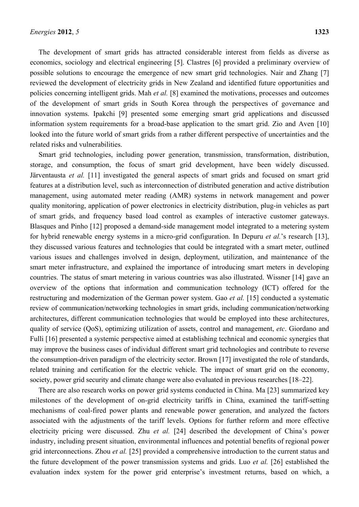The development of smart grids has attracted considerable interest from fields as diverse as economics, sociology and electrical engineering [5]. Clastres [6] provided a preliminary overview of possible solutions to encourage the emergence of new smart grid technologies. Nair and Zhang [7] reviewed the development of electricity grids in New Zealand and identified future opportunities and policies concerning intelligent grids. Mah *et al.* [8] examined the motivations, processes and outcomes of the development of smart grids in South Korea through the perspectives of governance and innovation systems. Ipakchi [9] presented some emerging smart grid applications and discussed information system requirements for a broad-base application to the smart grid. Zio and Aven [10] looked into the future world of smart grids from a rather different perspective of uncertainties and the related risks and vulnerabilities.

Smart grid technologies, including power generation, transmission, transformation, distribution, storage, and consumption, the focus of smart grid development, have been widely discussed. Järventausta *et al.* [11] investigated the general aspects of smart grids and focused on smart grid features at a distribution level, such as interconnection of distributed generation and active distribution management, using automated meter reading (AMR) systems in network management and power quality monitoring, application of power electronics in electricity distribution, plug-in vehicles as part of smart grids, and frequency based load control as examples of interactive customer gateways. Blasques and Pinho [12] proposed a demand-side management model integrated to a metering system for hybrid renewable energy systems in a micro-grid configuration. In Depuru *et al.*'s research [13], they discussed various features and technologies that could be integrated with a smart meter, outlined various issues and challenges involved in design, deployment, utilization, and maintenance of the smart meter infrastructure, and explained the importance of introducing smart meters in developing countries. The status of smart metering in various countries was also illustrated. Wissner [14] gave an overview of the options that information and communication technology (ICT) offered for the restructuring and modernization of the German power system. Gao *et al.* [15] conducted a systematic review of communication/networking technologies in smart grids, including communication/networking architectures, different communication technologies that would be employed into these architectures, quality of service (QoS), optimizing utilization of assets, control and management, *etc*. Giordano and Fulli [16] presented a systemic perspective aimed at establishing technical and economic synergies that may improve the business cases of individual different smart grid technologies and contribute to reverse the consumption-driven paradigm of the electricity sector. Brown [17] investigated the role of standards, related training and certification for the electric vehicle. The impact of smart grid on the economy, society, power grid security and climate change were also evaluated in previous researches [18–22].

There are also research works on power grid systems conducted in China. Ma [23] summarized key milestones of the development of on-grid electricity tariffs in China, examined the tariff-setting mechanisms of coal-fired power plants and renewable power generation, and analyzed the factors associated with the adjustments of the tariff levels. Options for further reform and more effective electricity pricing were discussed. Zhu *et al.* [24] described the development of China's power industry, including present situation, environmental influences and potential benefits of regional power grid interconnections. Zhou *et al.* [25] provided a comprehensive introduction to the current status and the future development of the power transmission systems and grids. Luo *et al.* [26] established the evaluation index system for the power grid enterprise's investment returns, based on which, a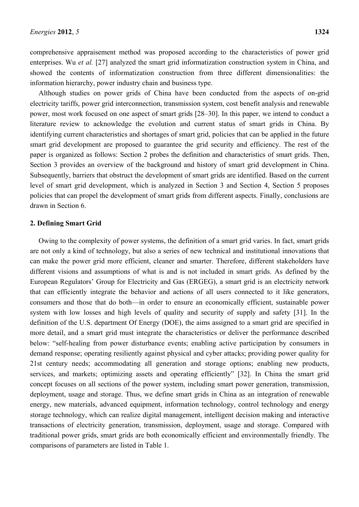comprehensive appraisement method was proposed according to the characteristics of power grid enterprises. Wu *et al.* [27] analyzed the smart grid informatization construction system in China, and showed the contents of informatization construction from three different dimensionalities: the information hierarchy, power industry chain and business type.

Although studies on power grids of China have been conducted from the aspects of on-grid electricity tariffs, power grid interconnection, transmission system, cost benefit analysis and renewable power, most work focused on one aspect of smart grids [28–30]. In this paper, we intend to conduct a literature review to acknowledge the evolution and current status of smart grids in China. By identifying current characteristics and shortages of smart grid, policies that can be applied in the future smart grid development are proposed to guarantee the grid security and efficiency. The rest of the paper is organized as follows: Section 2 probes the definition and characteristics of smart grids. Then, Section 3 provides an overview of the background and history of smart grid development in China. Subsequently, barriers that obstruct the development of smart grids are identified. Based on the current level of smart grid development, which is analyzed in Section 3 and Section 4, Section 5 proposes policies that can propel the development of smart grids from different aspects. Finally, conclusions are drawn in Section 6.

# **2. Defining Smart Grid**

Owing to the complexity of power systems, the definition of a smart grid varies. In fact, smart grids are not only a kind of technology, but also a series of new technical and institutional innovations that can make the power grid more efficient, cleaner and smarter. Therefore, different stakeholders have different visions and assumptions of what is and is not included in smart grids. As defined by the European Regulators' Group for Electricity and Gas (ERGEG), a smart grid is an electricity network that can efficiently integrate the behavior and actions of all users connected to it like generators, consumers and those that do both—in order to ensure an economically efficient, sustainable power system with low losses and high levels of quality and security of supply and safety [31]. In the definition of the U.S. department Of Energy (DOE), the aims assigned to a smart grid are specified in more detail, and a smart grid must integrate the characteristics or deliver the performance described below: "self-healing from power disturbance events; enabling active participation by consumers in demand response; operating resiliently against physical and cyber attacks; providing power quality for 21st century needs; accommodating all generation and storage options; enabling new products, services, and markets; optimizing assets and operating efficiently" [32]. In China the smart grid concept focuses on all sections of the power system, including smart power generation, transmission, deployment, usage and storage. Thus, we define smart grids in China as an integration of renewable energy, new materials, advanced equipment, information technology, control technology and energy storage technology, which can realize digital management, intelligent decision making and interactive transactions of electricity generation, transmission, deployment, usage and storage. Compared with traditional power grids, smart grids are both economically efficient and environmentally friendly. The comparisons of parameters are listed in Table 1.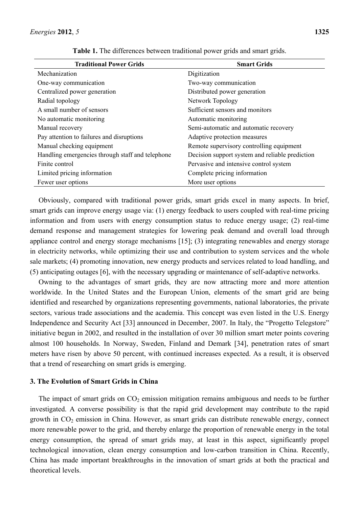| <b>Traditional Power Grids</b>                   | <b>Smart Grids</b>                              |  |
|--------------------------------------------------|-------------------------------------------------|--|
| Mechanization                                    | Digitization                                    |  |
| One-way communication                            | Two-way communication                           |  |
| Centralized power generation                     | Distributed power generation                    |  |
| Radial topology                                  | Network Topology                                |  |
| A small number of sensors                        | Sufficient sensors and monitors                 |  |
| No automatic monitoring                          | Automatic monitoring                            |  |
| Manual recovery                                  | Semi-automatic and automatic recovery           |  |
| Pay attention to failures and disruptions        | Adaptive protection measures                    |  |
| Manual checking equipment                        | Remote supervisory controlling equipment        |  |
| Handling emergencies through staff and telephone | Decision support system and reliable prediction |  |
| Finite control                                   | Pervasive and intensive control system          |  |
| Limited pricing information                      | Complete pricing information                    |  |
| Fewer user options                               | More user options                               |  |

Obviously, compared with traditional power grids, smart grids excel in many aspects. In brief, smart grids can improve energy usage via: (1) energy feedback to users coupled with real-time pricing information and from users with energy consumption status to reduce energy usage; (2) real-time demand response and management strategies for lowering peak demand and overall load through appliance control and energy storage mechanisms [15]; (3) integrating renewables and energy storage in electricity networks, while optimizing their use and contribution to system services and the whole sale markets; (4) promoting innovation, new energy products and services related to load handling, and (5) anticipating outages [6], with the necessary upgrading or maintenance of self-adaptive networks.

Owning to the advantages of smart grids, they are now attracting more and more attention worldwide. In the United States and the European Union, elements of the smart grid are being identified and researched by organizations representing governments, national laboratories, the private sectors, various trade associations and the academia. This concept was even listed in the U.S. Energy Independence and Security Act [33] announced in December, 2007. In Italy, the "Progetto Telegstore" initiative begun in 2002, and resulted in the installation of over 30 million smart meter points covering almost 100 households. In Norway, Sweden, Finland and Demark [34], penetration rates of smart meters have risen by above 50 percent, with continued increases expected. As a result, it is observed that a trend of researching on smart grids is emerging.

# **3. The Evolution of Smart Grids in China**

The impact of smart grids on  $CO<sub>2</sub>$  emission mitigation remains ambiguous and needs to be further investigated. A converse possibility is that the rapid grid development may contribute to the rapid growth in  $CO<sub>2</sub>$  emission in China. However, as smart grids can distribute renewable energy, connect more renewable power to the grid, and thereby enlarge the proportion of renewable energy in the total energy consumption, the spread of smart grids may, at least in this aspect, significantly propel technological innovation, clean energy consumption and low-carbon transition in China. Recently, China has made important breakthroughs in the innovation of smart grids at both the practical and theoretical levels.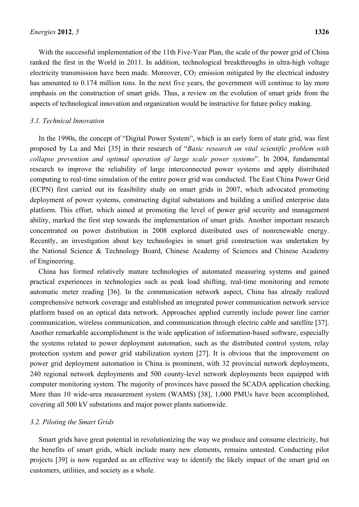With the successful implementation of the 11th Five-Year Plan, the scale of the power grid of China ranked the first in the World in 2011. In addition, technological breakthroughs in ultra-high voltage electricity transmission have been made. Moreover,  $CO<sub>2</sub>$  emission mitigated by the electrical industry has amounted to 0.174 million tons. In the next five years, the government will continue to lay more emphasis on the construction of smart grids. Thus, a review on the evolution of smart grids from the aspects of technological innovation and organization would be instructive for future policy making.

#### *3.1. Technical Innovation*

In the 1990s, the concept of "Digital Power System", which is an early form of state grid, was first proposed by Lu and Mei [35] in their research of "*Basic research on vital scientific problem with collapse prevention and optimal operation of large scale power systems*". In 2004, fundamental research to improve the reliability of large interconnected power systems and apply distributed computing to real-time simulation of the entire power grid was conducted. The East China Power Grid (ECPN) first carried out its feasibility study on smart grids in 2007, which advocated promoting deployment of power systems, constructing digital substations and building a unified enterprise data platform. This effort, which aimed at promoting the level of power grid security and management ability, marked the first step towards the implementation of smart grids. Another important research concentrated on power distribution in 2008 explored distributed uses of nonrenewable energy. Recently, an investigation about key technologies in smart grid construction was undertaken by the National Science & Technology Board, Chinese Academy of Sciences and Chinese Academy of Engineering.

China has formed relatively mature technologies of automated measuring systems and gained practical experiences in technologies such as peak load shifting, real-time monitoring and remote automatic meter reading [36]. In the communication network aspect, China has already realized comprehensive network coverage and established an integrated power communication network service platform based on an optical data network. Approaches applied currently include power line carrier communication, wireless communication, and communication through electric cable and satellite [37]. Another remarkable accomplishment is the wide application of information-based software, especially the systems related to power deployment automation, such as the distributed control system, relay protection system and power grid stabilization system [27]. It is obvious that the improvement on power grid deployment automation in China is prominent, with 32 provincial network deployments, 240 regional network deployments and 500 county-level network deployments been equipped with computer monitoring system. The majority of provinces have passed the SCADA application checking. More than 10 wide-area measurement system (WAMS) [38], 1,000 PMUs have been accomplished, covering all 500 kV substations and major power plants nationwide.

#### *3.2. Piloting the Smart Grids*

Smart grids have great potential in revolutionizing the way we produce and consume electricity, but the benefits of smart grids, which include many new elements, remains untested. Conducting pilot projects [39] is now regarded as an effective way to identify the likely impact of the smart grid on customers, utilities, and society as a whole.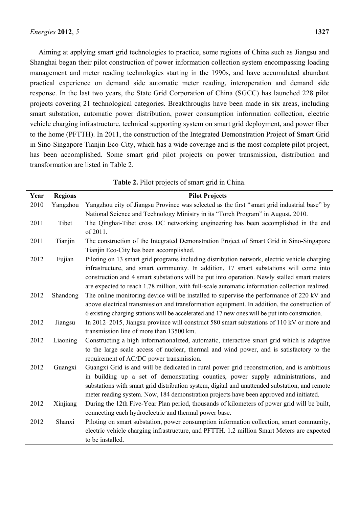Aiming at applying smart grid technologies to practice, some regions of China such as Jiangsu and Shanghai began their pilot construction of power information collection system encompassing loading management and meter reading technologies starting in the 1990s, and have accumulated abundant practical experience on demand side automatic meter reading, interoperation and demand side response. In the last two years, the State Grid Corporation of China (SGCC) has launched 228 pilot projects covering 21 technological categories. Breakthroughs have been made in six areas, including smart substation, automatic power distribution, power consumption information collection, electric vehicle charging infrastructure, technical supporting system on smart grid deployment, and power fiber to the home (PFTTH). In 2011, the construction of the Integrated Demonstration Project of Smart Grid in Sino-Singapore Tianjin Eco-City, which has a wide coverage and is the most complete pilot project, has been accomplished. Some smart grid pilot projects on power transmission, distribution and transformation are listed in Table 2.

| Year | <b>Regions</b> | <b>Pilot Projects</b>                                                                           |
|------|----------------|-------------------------------------------------------------------------------------------------|
| 2010 | Yangzhou       | Yangzhou city of Jiangsu Province was selected as the first "smart grid industrial base" by     |
|      |                | National Science and Technology Ministry in its "Torch Program" in August, 2010.                |
| 2011 | Tibet          | The Qinghai-Tibet cross DC networking engineering has been accomplished in the end              |
|      |                | of 2011.                                                                                        |
| 2011 | Tianjin        | The construction of the Integrated Demonstration Project of Smart Grid in Sino-Singapore        |
|      |                | Tianjin Eco-City has been accomplished.                                                         |
| 2012 | Fujian         | Piloting on 13 smart grid programs including distribution network, electric vehicle charging    |
|      |                | infrastructure, and smart community. In addition, 17 smart substations will come into           |
|      |                | construction and 4 smart substations will be put into operation. Newly stalled smart meters     |
|      |                | are expected to reach 1.78 million, with full-scale automatic information collection realized.  |
| 2012 | Shandong       | The online monitoring device will be installed to supervise the performance of 220 kV and       |
|      |                | above electrical transmission and transformation equipment. In addition, the construction of    |
|      |                | 6 existing charging stations will be accelerated and 17 new ones will be put into construction. |
| 2012 | Jiangsu        | In 2012–2015, Jiangsu province will construct 580 smart substations of 110 kV or more and       |
|      |                | transmission line of more than 13500 km.                                                        |
| 2012 | Liaoning       | Constructing a high informationalized, automatic, interactive smart grid which is adaptive      |
|      |                | to the large scale access of nuclear, thermal and wind power, and is satisfactory to the        |
|      |                | requirement of AC/DC power transmission.                                                        |
| 2012 | Guangxi        | Guangxi Grid is and will be dedicated in rural power grid reconstruction, and is ambitious      |
|      |                | in building up a set of demonstrating counties, power supply administrations, and               |
|      |                | substations with smart grid distribution system, digital and unattended substation, and remote  |
|      |                | meter reading system. Now, 184 demonstration projects have been approved and initiated.         |
| 2012 | Xinjiang       | During the 12th Five-Year Plan period, thousands of kilometers of power grid will be built,     |
|      |                | connecting each hydroelectric and thermal power base.                                           |
| 2012 | Shanxi         | Piloting on smart substation, power consumption information collection, smart community,        |
|      |                | electric vehicle charging infrastructure, and PFTTH. 1.2 million Smart Meters are expected      |

to be installed.

**Table 2.** Pilot projects of smart grid in China.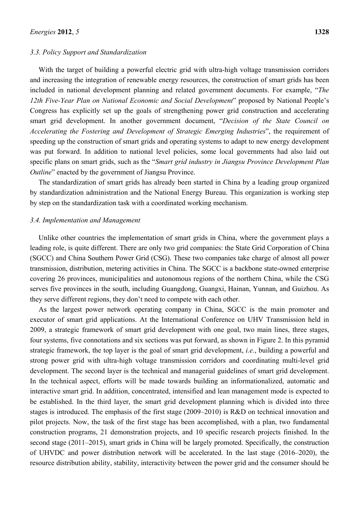#### *3.3. Policy Support and Standardization*

With the target of building a powerful electric grid with ultra-high voltage transmission corridors and increasing the integration of renewable energy resources, the construction of smart grids has been included in national development planning and related government documents. For example, "*The 12th Five-Year Plan on National Economic and Social Development*" proposed by National People's Congress has explicitly set up the goals of strengthening power grid construction and accelerating smart grid development. In another government document, "*Decision of the State Council on Accelerating the Fostering and Development of Strategic Emerging Industries*", the requirement of speeding up the construction of smart grids and operating systems to adapt to new energy development was put forward. In addition to national level policies, some local governments had also laid out specific plans on smart grids, such as the "*Smart grid industry in Jiangsu Province Development Plan Outline*" enacted by the government of Jiangsu Province.

The standardization of smart grids has already been started in China by a leading group organized by standardization administration and the National Energy Bureau. This organization is working step by step on the standardization task with a coordinated working mechanism.

#### *3.4. Implementation and Management*

Unlike other countries the implementation of smart grids in China, where the government plays a leading role, is quite different. There are only two grid companies: the State Grid Corporation of China (SGCC) and China Southern Power Grid (CSG). These two companies take charge of almost all power transmission, distribution, metering activities in China. The SGCC is a backbone state-owned enterprise covering 26 provinces, municipalities and autonomous regions of the northern China, while the CSG serves five provinces in the south, including Guangdong, Guangxi, Hainan, Yunnan, and Guizhou. As they serve different regions, they don't need to compete with each other.

As the largest power network operating company in China, SGCC is the main promoter and executor of smart grid applications. At the International Conference on UHV Transmission held in 2009, a strategic framework of smart grid development with one goal, two main lines, three stages, four systems, five connotations and six sections was put forward, as shown in Figure 2. In this pyramid strategic framework, the top layer is the goal of smart grid development, *i.e.*, building a powerful and strong power grid with ultra-high voltage transmission corridors and coordinating multi-level grid development. The second layer is the technical and managerial guidelines of smart grid development. In the technical aspect, efforts will be made towards building an informationalized, automatic and interactive smart grid. In addition, concentrated, intensified and lean management mode is expected to be established. In the third layer, the smart grid development planning which is divided into three stages is introduced. The emphasis of the first stage (2009–2010) is R&D on technical innovation and pilot projects. Now, the task of the first stage has been accomplished, with a plan, two fundamental construction programs, 21 demonstration projects, and 10 specific research projects finished. In the second stage (2011–2015), smart grids in China will be largely promoted. Specifically, the construction of UHVDC and power distribution network will be accelerated. In the last stage (2016–2020), the resource distribution ability, stability, interactivity between the power grid and the consumer should be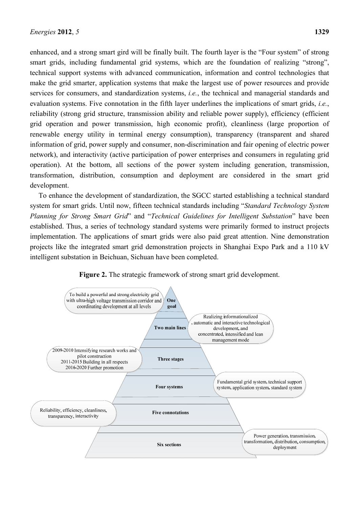enhanced, and a strong smart gird will be finally built. The fourth layer is the "Four system" of strong smart grids, including fundamental grid systems, which are the foundation of realizing "strong", technical support systems with advanced communication, information and control technologies that make the grid smarter, application systems that make the largest use of power resources and provide services for consumers, and standardization systems, *i.e.*, the technical and managerial standards and evaluation systems. Five connotation in the fifth layer underlines the implications of smart grids, *i.e.*, reliability (strong grid structure, transmission ability and reliable power supply), efficiency (efficient grid operation and power transmission, high economic profit), cleanliness (large proportion of renewable energy utility in terminal energy consumption), transparency (transparent and shared information of grid, power supply and consumer, non-discrimination and fair opening of electric power network), and interactivity (active participation of power enterprises and consumers in regulating grid operation). At the bottom, all sections of the power system including generation, transmission, transformation, distribution, consumption and deployment are considered in the smart grid development.

To enhance the development of standardization, the SGCC started establishing a technical standard system for smart grids. Until now, fifteen technical standards including "*Standard Technology System Planning for Strong Smart Grid*" and "*Technical Guidelines for Intelligent Substation*" have been established. Thus, a series of technology standard systems were primarily formed to instruct projects implementation. The applications of smart grids were also paid great attention. Nine demonstration projects like the integrated smart grid demonstration projects in Shanghai Expo Park and a 110 kV intelligent substation in Beichuan, Sichuan have been completed.



**Figure 2.** The strategic framework of strong smart grid development.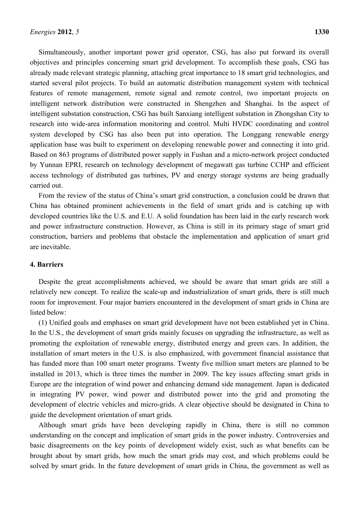Simultaneously, another important power grid operator, CSG, has also put forward its overall objectives and principles concerning smart grid development. To accomplish these goals, CSG has already made relevant strategic planning, attaching great importance to 18 smart grid technologies, and started several pilot projects. To build an automatic distribution management system with technical features of remote management, remote signal and remote control, two important projects on intelligent network distribution were constructed in Shengzhen and Shanghai. In the aspect of intelligent substation construction, CSG has built Sanxiang intelligent substation in Zhongshan City to research into wide-area information monitoring and control. Multi HVDC coordinating and control system developed by CSG has also been put into operation. The Longgang renewable energy application base was built to experiment on developing renewable power and connecting it into grid. Based on 863 programs of distributed power supply in Fushan and a micro-network project conducted by Yunnan EPRI, research on technology development of megawatt gas turbine CCHP and efficient access technology of distributed gas turbines, PV and energy storage systems are being gradually carried out.

From the review of the status of China's smart grid construction, a conclusion could be drawn that China has obtained prominent achievements in the field of smart grids and is catching up with developed countries like the U.S. and E.U. A solid foundation has been laid in the early research work and power infrastructure construction. However, as China is still in its primary stage of smart grid construction, barriers and problems that obstacle the implementation and application of smart grid are inevitable.

# **4. Barriers**

Despite the great accomplishments achieved, we should be aware that smart grids are still a relatively new concept. To realize the scale-up and industrialization of smart grids, there is still much room for improvement. Four major barriers encountered in the development of smart grids in China are listed below:

(1) Unified goals and emphases on smart grid development have not been established yet in China. In the U.S., the development of smart grids mainly focuses on upgrading the infrastructure, as well as promoting the exploitation of renewable energy, distributed energy and green cars. In addition, the installation of smart meters in the U.S. is also emphasized, with government financial assistance that has funded more than 100 smart meter programs. Twenty five million smart meters are planned to be installed in 2013, which is three times the number in 2009. The key issues affecting smart grids in Europe are the integration of wind power and enhancing demand side management. Japan is dedicated in integrating PV power, wind power and distributed power into the grid and promoting the development of electric vehicles and micro-grids. A clear objective should be designated in China to guide the development orientation of smart grids.

Although smart grids have been developing rapidly in China, there is still no common understanding on the concept and implication of smart grids in the power industry. Controversies and basic disagreements on the key points of development widely exist, such as what benefits can be brought about by smart grids, how much the smart grids may cost, and which problems could be solved by smart grids. In the future development of smart grids in China, the government as well as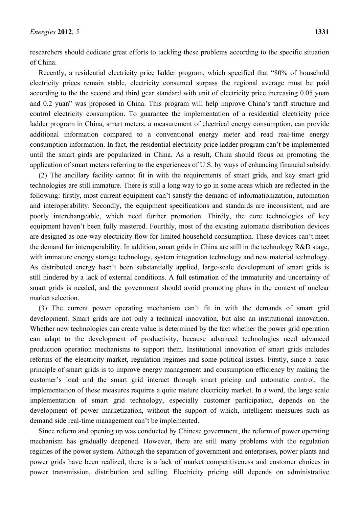researchers should dedicate great efforts to tackling these problems according to the specific situation of China.

Recently, a residential electricity price ladder program, which specified that "80% of household electricity prices remain stable, electricity consumed surpass the regional average must be paid according to the the second and third gear standard with unit of electricity price increasing 0.05 yuan and 0.2 yuan" was proposed in China. This program will help improve China's tariff structure and control electricity consumption. To guarantee the implementation of a residential electricity price ladder program in China, smart meters, a measurement of electrical energy consumption, can provide additional information compared to a conventional energy meter and read real-time energy consumption information. In fact, the residential electricity price ladder program can't be implemented until the smart girds are popularized in China. As a result, China should focus on promoting the application of smart meters referring to the experiences of U.S. by ways of enhancing financial subsidy.

(2) The ancillary facility cannot fit in with the requirements of smart grids, and key smart grid technologies are still immature. There is still a long way to go in some areas which are reflected in the following: firstly, most current equipment can't satisfy the demand of informationization, automation and interoperability. Secondly, the equipment specifications and standards are inconsistent, and are poorly interchangeable, which need further promotion. Thirdly, the core technologies of key equipment haven't been fully mastered. Fourthly, most of the existing automatic distribution devices are designed as one-way electricity flow for limited household consumption. These devices can't meet the demand for interoperability. In addition, smart grids in China are still in the technology R&D stage, with immature energy storage technology, system integration technology and new material technology. As distributed energy hasn't been substantially applied, large-scale development of smart grids is still hindered by a lack of external conditions. A full estimation of the immaturity and uncertainty of smart grids is needed, and the government should avoid promoting plans in the context of unclear market selection.

(3) The current power operating mechanism can't fit in with the demands of smart grid development. Smart grids are not only a technical innovation, but also an institutional innovation. Whether new technologies can create value is determined by the fact whether the power grid operation can adapt to the development of productivity, because advanced technologies need advanced production operation mechanisms to support them. Institutional innovation of smart grids includes reforms of the electricity market, regulation regimes and some political issues. Firstly, since a basic principle of smart grids is to improve energy management and consumption efficiency by making the customer's load and the smart grid interact through smart pricing and automatic control, the implementation of these measures requires a quite mature electricity market. In a word, the large scale implementation of smart grid technology, especially customer participation, depends on the development of power marketization, without the support of which, intelligent measures such as demand side real-time management can't be implemented.

Since reform and opening up was conducted by Chinese government, the reform of power operating mechanism has gradually deepened. However, there are still many problems with the regulation regimes of the power system. Although the separation of government and enterprises, power plants and power grids have been realized, there is a lack of market competitiveness and customer choices in power transmission, distribution and selling. Electricity pricing still depends on administrative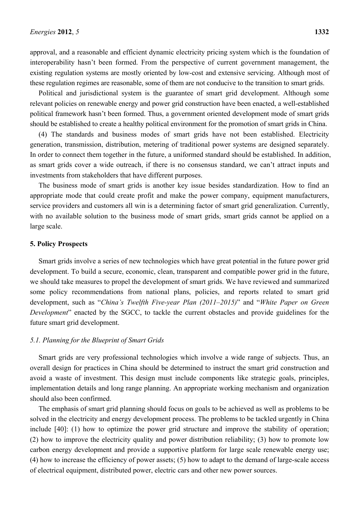approval, and a reasonable and efficient dynamic electricity pricing system which is the foundation of interoperability hasn't been formed. From the perspective of current government management, the existing regulation systems are mostly oriented by low-cost and extensive servicing. Although most of these regulation regimes are reasonable, some of them are not conducive to the transition to smart grids.

Political and jurisdictional system is the guarantee of smart grid development. Although some relevant policies on renewable energy and power grid construction have been enacted, a well-established political framework hasn't been formed. Thus, a government oriented development mode of smart grids should be established to create a healthy political environment for the promotion of smart grids in China.

(4) The standards and business modes of smart grids have not been established. Electricity generation, transmission, distribution, metering of traditional power systems are designed separately. In order to connect them together in the future, a uniformed standard should be established. In addition, as smart grids cover a wide outreach, if there is no consensus standard, we can't attract inputs and investments from stakeholders that have different purposes.

The business mode of smart grids is another key issue besides standardization. How to find an appropriate mode that could create profit and make the power company, equipment manufacturers, service providers and customers all win is a determining factor of smart grid generalization. Currently, with no available solution to the business mode of smart grids, smart grids cannot be applied on a large scale.

# **5. Policy Prospects**

Smart grids involve a series of new technologies which have great potential in the future power grid development. To build a secure, economic, clean, transparent and compatible power grid in the future, we should take measures to propel the development of smart grids. We have reviewed and summarized some policy recommendations from national plans, policies, and reports related to smart grid development, such as "*China's Twelfth Five-year Plan (2011–2015)*" and "*White Paper on Green Development*" enacted by the SGCC, to tackle the current obstacles and provide guidelines for the future smart grid development.

#### *5.1. Planning for the Blueprint of Smart Grids*

Smart grids are very professional technologies which involve a wide range of subjects. Thus, an overall design for practices in China should be determined to instruct the smart grid construction and avoid a waste of investment. This design must include components like strategic goals, principles, implementation details and long range planning. An appropriate working mechanism and organization should also been confirmed.

The emphasis of smart grid planning should focus on goals to be achieved as well as problems to be solved in the electricity and energy development process. The problems to be tackled urgently in China include [40]: (1) how to optimize the power grid structure and improve the stability of operation; (2) how to improve the electricity quality and power distribution reliability; (3) how to promote low carbon energy development and provide a supportive platform for large scale renewable energy use; (4) how to increase the efficiency of power assets; (5) how to adapt to the demand of large-scale access of electrical equipment, distributed power, electric cars and other new power sources.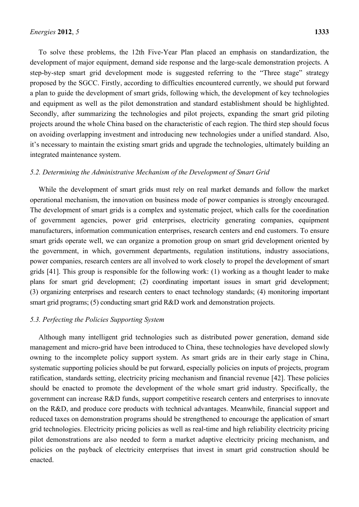To solve these problems, the 12th Five-Year Plan placed an emphasis on standardization, the development of major equipment, demand side response and the large-scale demonstration projects. A step-by-step smart grid development mode is suggested referring to the "Three stage" strategy proposed by the SGCC. Firstly, according to difficulties encountered currently, we should put forward a plan to guide the development of smart grids, following which, the development of key technologies and equipment as well as the pilot demonstration and standard establishment should be highlighted. Secondly, after summarizing the technologies and pilot projects, expanding the smart grid piloting projects around the whole China based on the characteristic of each region. The third step should focus on avoiding overlapping investment and introducing new technologies under a unified standard. Also, it's necessary to maintain the existing smart grids and upgrade the technologies, ultimately building an integrated maintenance system.

# *5.2. Determining the Administrative Mechanism of the Development of Smart Grid*

While the development of smart grids must rely on real market demands and follow the market operational mechanism, the innovation on business mode of power companies is strongly encouraged. The development of smart grids is a complex and systematic project, which calls for the coordination of government agencies, power grid enterprises, electricity generating companies, equipment manufacturers, information communication enterprises, research centers and end customers. To ensure smart grids operate well, we can organize a promotion group on smart grid development oriented by the government, in which, government departments, regulation institutions, industry associations, power companies, research centers are all involved to work closely to propel the development of smart grids [41]. This group is responsible for the following work: (1) working as a thought leader to make plans for smart grid development; (2) coordinating important issues in smart grid development; (3) organizing enterprises and research centers to enact technology standards; (4) monitoring important smart grid programs; (5) conducting smart grid R&D work and demonstration projects.

# *5.3. Perfecting the Policies Supporting System*

Although many intelligent grid technologies such as distributed power generation, demand side management and micro-grid have been introduced to China, these technologies have developed slowly owning to the incomplete policy support system. As smart grids are in their early stage in China, systematic supporting policies should be put forward, especially policies on inputs of projects, program ratification, standards setting, electricity pricing mechanism and financial revenue [42]. These policies should be enacted to promote the development of the whole smart grid industry. Specifically, the government can increase R&D funds, support competitive research centers and enterprises to innovate on the R&D, and produce core products with technical advantages. Meanwhile, financial support and reduced taxes on demonstration programs should be strengthened to encourage the application of smart grid technologies. Electricity pricing policies as well as real-time and high reliability electricity pricing pilot demonstrations are also needed to form a market adaptive electricity pricing mechanism, and policies on the payback of electricity enterprises that invest in smart grid construction should be enacted.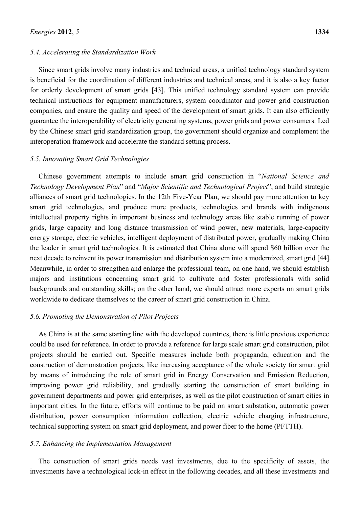#### *5.4. Accelerating the Standardization Work*

Since smart grids involve many industries and technical areas, a unified technology standard system is beneficial for the coordination of different industries and technical areas, and it is also a key factor for orderly development of smart grids [43]. This unified technology standard system can provide technical instructions for equipment manufacturers, system coordinator and power grid construction companies, and ensure the quality and speed of the development of smart grids. It can also efficiently guarantee the interoperability of electricity generating systems, power grids and power consumers. Led by the Chinese smart grid standardization group, the government should organize and complement the interoperation framework and accelerate the standard setting process.

### *5.5. Innovating Smart Grid Technologies*

Chinese government attempts to include smart grid construction in "*National Science and Technology Development Plan*" and "*Major Scientific and Technological Project*", and build strategic alliances of smart grid technologies. In the 12th Five-Year Plan, we should pay more attention to key smart grid technologies, and produce more products, technologies and brands with indigenous intellectual property rights in important business and technology areas like stable running of power grids, large capacity and long distance transmission of wind power, new materials, large-capacity energy storage, electric vehicles, intelligent deployment of distributed power, gradually making China the leader in smart grid technologies. It is estimated that China alone will spend \$60 billion over the next decade to reinvent its power transmission and distribution system into a modernized, smart grid [44]. Meanwhile, in order to strengthen and enlarge the professional team, on one hand, we should establish majors and institutions concerning smart grid to cultivate and foster professionals with solid backgrounds and outstanding skills; on the other hand, we should attract more experts on smart grids worldwide to dedicate themselves to the career of smart grid construction in China.

# *5.6. Promoting the Demonstration of Pilot Projects*

As China is at the same starting line with the developed countries, there is little previous experience could be used for reference. In order to provide a reference for large scale smart grid construction, pilot projects should be carried out. Specific measures include both propaganda, education and the construction of demonstration projects, like increasing acceptance of the whole society for smart grid by means of introducing the role of smart grid in Energy Conservation and Emission Reduction, improving power grid reliability, and gradually starting the construction of smart building in government departments and power grid enterprises, as well as the pilot construction of smart cities in important cities. In the future, efforts will continue to be paid on smart substation, automatic power distribution, power consumption information collection, electric vehicle charging infrastructure, technical supporting system on smart grid deployment, and power fiber to the home (PFTTH).

#### *5.7. Enhancing the Implementation Management*

The construction of smart grids needs vast investments, due to the specificity of assets, the investments have a technological lock-in effect in the following decades, and all these investments and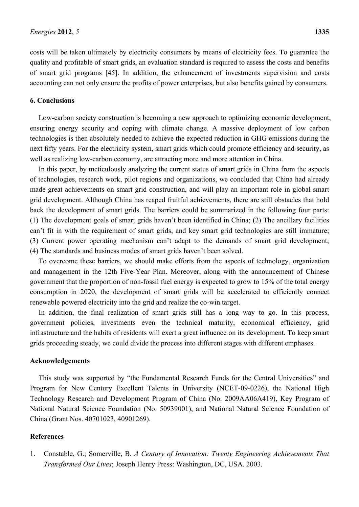costs will be taken ultimately by electricity consumers by means of electricity fees. To guarantee the quality and profitable of smart grids, an evaluation standard is required to assess the costs and benefits of smart grid programs [45]. In addition, the enhancement of investments supervision and costs accounting can not only ensure the profits of power enterprises, but also benefits gained by consumers.

### **6. Conclusions**

Low-carbon society construction is becoming a new approach to optimizing economic development, ensuring energy security and coping with climate change. A massive deployment of low carbon technologies is then absolutely needed to achieve the expected reduction in GHG emissions during the next fifty years. For the electricity system, smart grids which could promote efficiency and security, as well as realizing low-carbon economy, are attracting more and more attention in China.

In this paper, by meticulously analyzing the current status of smart grids in China from the aspects of technologies, research work, pilot regions and organizations, we concluded that China had already made great achievements on smart grid construction, and will play an important role in global smart grid development. Although China has reaped fruitful achievements, there are still obstacles that hold back the development of smart grids. The barriers could be summarized in the following four parts: (1) The development goals of smart grids haven't been identified in China; (2) The ancillary facilities can't fit in with the requirement of smart grids, and key smart grid technologies are still immature; (3) Current power operating mechanism can't adapt to the demands of smart grid development; (4) The standards and business modes of smart grids haven't been solved.

To overcome these barriers, we should make efforts from the aspects of technology, organization and management in the 12th Five-Year Plan. Moreover, along with the announcement of Chinese government that the proportion of non-fossil fuel energy is expected to grow to 15% of the total energy consumption in 2020, the development of smart grids will be accelerated to efficiently connect renewable powered electricity into the grid and realize the co-win target.

In addition, the final realization of smart grids still has a long way to go. In this process, government policies, investments even the technical maturity, economical efficiency, grid infrastructure and the habits of residents will exert a great influence on its development. To keep smart grids proceeding steady, we could divide the process into different stages with different emphases.

#### **Acknowledgements**

This study was supported by "the Fundamental Research Funds for the Central Universities" and Program for New Century Excellent Talents in University (NCET-09-0226), the National High Technology Research and Development Program of China (No. 2009AA06A419), Key Program of National Natural Science Foundation (No. 50939001), and National Natural Science Foundation of China (Grant Nos. 40701023, 40901269).

#### **References**

1. Constable, G.; Somerville, B. *A Century of Innovation: Twenty Engineering Achievements That Transformed Our Lives*; Joseph Henry Press: Washington, DC, USA. 2003.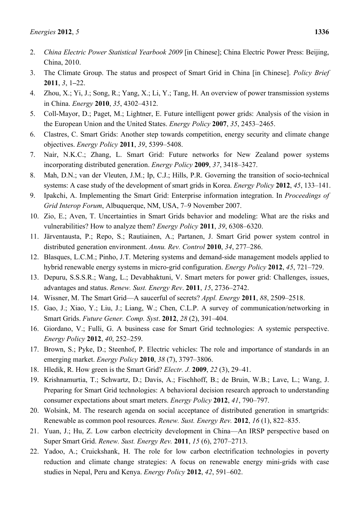- 2. *China Electric Power Statistical Yearbook 2009* [in Chinese]; China Electric Power Press: Beijing, China, 2010.
- 3. The Climate Group. The status and prospect of Smart Grid in China [in Chinese]. *Policy Brief* **2011**, *3*, 1**–**22.
- 4. Zhou, X.; Yi, J.; Song, R.; Yang, X.; Li, Y.; Tang, H. An overview of power transmission systems in China. *Energy* **2010**, *35*, 4302–4312.
- 5. Coll-Mayor, D.; Paget, M.; Lightner, E. Future intelligent power grids: Analysis of the vision in the European Union and the United States. *Energy Policy* **2007**, *35*, 2453–2465.
- 6. Clastres, C. Smart Grids: Another step towards competition, energy security and climate change objectives. *Energy Policy* **2011**, *39*, 5399–5408.
- 7. Nair, N.K.C.; Zhang, L. Smart Grid: Future networks for New Zealand power systems incorporating distributed generation. *Energy Policy* **2009**, *37*, 3418–3427.
- 8. Mah, D.N.; van der Vleuten, J.M.; Ip, C.J.; Hills, P.R. Governing the transition of socio-technical systems: A case study of the development of smart grids in Korea. *Energy Policy* **2012**, *45*, 133–141.
- 9. Ipakchi, A. Implementing the Smart Grid: Enterprise information integration. In *Proceedings of Grid Interop Forum*, Albuquerque, NM, USA, 7–9 November 2007.
- 10. Zio, E.; Aven, T. Uncertainties in Smart Grids behavior and modeling: What are the risks and vulnerabilities? How to analyze them? *Energy Policy* **2011**, *39*, 6308–6320.
- 11. Järventausta, P.; Repo, S.; Rautiainen, A.; Partanen, J. Smart Grid power system control in distributed generation environment. *Annu. Rev. Control* **2010**, *34*, 277–286.
- 12. Blasques, L.C.M.; Pinho, J.T. Metering systems and demand-side management models applied to hybrid renewable energy systems in micro-grid configuration. *Energy Policy* **2012**, *45*, 721–729.
- 13. Depuru, S.S.S.R.; Wang, L.; Devabhaktuni, V. Smart meters for power grid: Challenges, issues, advantages and status. *Renew. Sust. Energy Rev*. **2011**, *15*, 2736–2742.
- 14. Wissner, M. The Smart Grid—A saucerful of secrets? *Appl. Energy* **2011**, *88*, 2509–2518.
- 15. Gao, J.; Xiao, Y.; Liu, J.; Liang, W.; Chen, C.L.P. A survey of communication/networking in Smart Grids. *Future Gener. Comp. Syst*. **2012**, *28* (2), 391–404.
- 16. Giordano, V.; Fulli, G. A business case for Smart Grid technologies: A systemic perspective. *Energy Policy* **2012**, *40*, 252–259.
- 17. Brown, S.; Pyke, D.; Steenhof, P. Electric vehicles: The role and importance of standards in an emerging market. *Energy Policy* **2010**, *38* (7), 3797–3806.
- 18. Hledik, R. How green is the Smart Grid? *Electr. J.* **2009**, *22* (3), 29–41.
- 19. Krishnamurtia, T.; Schwartz, D.; Davis, A.; Fischhoff, B.; de Bruin, W.B.; Lave, L.; Wang, J. Preparing for Smart Grid technologies: A behavioral decision research approach to understanding consumer expectations about smart meters. *Energy Policy* **2012**, *41*, 790–797.
- 20. Wolsink, M. The research agenda on social acceptance of distributed generation in smartgrids: Renewable as common pool resources. *Renew. Sust. Energy Rev.* **2012**, *16* (1), 822–835.
- 21. Yuan, J.; Hu, Z. Low carbon electricity development in China—An IRSP perspective based on Super Smart Grid. *Renew. Sust. Energy Rev.* **2011**, *15* (6), 2707–2713.
- 22. Yadoo, A.; Cruickshank, H. The role for low carbon electrification technologies in poverty reduction and climate change strategies: A focus on renewable energy mini-grids with case studies in Nepal, Peru and Kenya. *Energy Policy* **2012**, *42*, 591–602.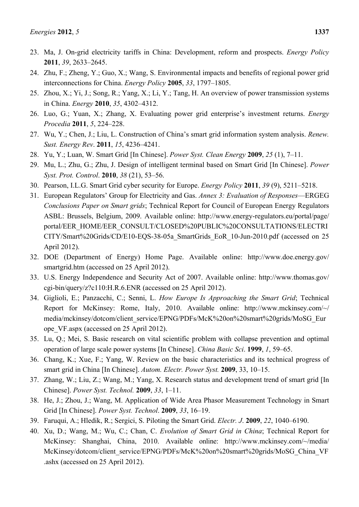- 24. Zhu, F.; Zheng, Y.; Guo, X.; Wang, S. Environmental impacts and benefits of regional power grid interconnections for China. *Energy Policy* **2005**, *33*, 1797–1805.
- 25. Zhou, X.; Yi, J.; Song, R.; Yang, X.; Li, Y.; Tang, H. An overview of power transmission systems in China. *Energy* **2010**, *35*, 4302–4312.
- 26. Luo, G.; Yuan, X.; Zhang, X. Evaluating power grid enterprise's investment returns. *Energy Procedia* **2011**, *5*, 224–228.
- 27. Wu, Y.; Chen, J.; Liu, L. Construction of China's smart grid information system analysis. *Renew. Sust. Energy Rev*. **2011**, *15*, 4236–4241.
- 28. Yu, Y.; Luan, W. Smart Grid [In Chinese]. *Power Syst. Clean Energy* **2009**, *25* (1), 7–11.
- 29. Mu, L.; Zhu, G.; Zhu, J. Design of intelligent terminal based on Smart Grid [In Chinese]. *Power Syst. Prot. Control*. **2010**, *38* (21), 53–56.
- 30. Pearson, I.L.G. Smart Grid cyber security for Europe. *Energy Policy* **2011**, *39* (9), 5211–5218.
- 31. European Regulators' Group for Electricity and Gas. *Annex 3: Evaluation of Responses*—ERGEG *Conclusions Paper on Smart grids*; Technical Report for Council of European Energy Regulators ASBL: Brussels, Belgium, 2009. Available online: http://www.energy-regulators.eu/portal/page/ portal/EER\_HOME/EER\_CONSULT/CLOSED%20PUBLIC%20CONSULTATIONS/ELECTRI CITY/Smart%20Grids/CD/E10-EQS-38-05a\_SmartGrids\_EoR\_10-Jun-2010.pdf (accessed on 25 April 2012).
- 32. DOE (Department of Energy) Home Page. Available online: http://www.doe.energy.gov/ smartgrid.htm (accessed on 25 April 2012).
- 33. U.S. Energy Independence and Security Act of 2007. Available online: http://www.thomas.gov/ cgi-bin/query/z?c110:H.R.6.ENR (accessed on 25 April 2012).
- 34. Giglioli, E.; Panzacchi, C.; Senni, L. *How Europe Is Approaching the Smart Grid*; Technical Report for McKinsey: Rome, Italy, 2010. Available online: http://www.mckinsey.com/~/ media/mckinsey/dotcom/client\_service/EPNG/PDFs/McK%20on%20smart%20grids/MoSG\_Eur ope\_VF.aspx (accessed on 25 April 2012).
- 35. Lu, Q.; Mei, S. Basic research on vital scientific problem with collapse prevention and optimal operation of large scale power systems [In Chinese]. *China Basic Sci*. **1999**, *1*, 59–65.
- 36. Chang, K.; Xue, F.; Yang, W. Review on the basic characteristics and its technical progress of smart grid in China [In Chinese]. *Autom. Electr. Power Syst.* **2009**, 33, 10–15.
- 37. Zhang, W.; Liu, Z.; Wang, M.; Yang, X. Research status and development trend of smart grid [In Chinese]. *Power Syst. Technol.* **2009**, *33*, 1–11.
- 38. He, J.; Zhou, J.; Wang, M. Application of Wide Area Phasor Measurement Technology in Smart Grid [In Chinese]. *Power Syst. Technol*. **2009**, *33*, 16–19.
- 39. Faruqui, A.; Hledik, R.; Sergici, S. Piloting the Smart Grid. *Electr. J*. **2009**, *22*, 1040–6190.
- 40. Xu, D.; Wang, M.; Wu, C.; Chan, C. *Evolution of Smart Grid in China*; Technical Report for McKinsey: Shanghai, China, 2010. Available online: http://www.mckinsey.com/~/media/ McKinsey/dotcom/client\_service/EPNG/PDFs/McK%20on%20smart%20grids/MoSG\_China\_VF .ashx (accessed on 25 April 2012).